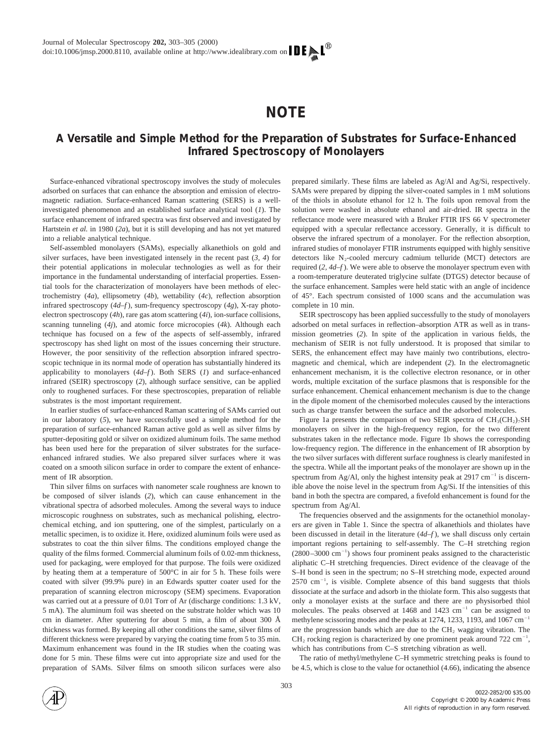# **NOTE**

# **A Versatile and Simple Method for the Preparation of Substrates for Surface-Enhanced Infrared Spectroscopy of Monolayers**

Surface-enhanced vibrational spectroscopy involves the study of molecules adsorbed on surfaces that can enhance the absorption and emission of electromagnetic radiation. Surface-enhanced Raman scattering (SERS) is a wellinvestigated phenomenon and an established surface analytical tool (*1*). The surface enhancement of infrared spectra was first observed and investigated by Hartstein *et al.* in 1980 (*2a*), but it is still developing and has not yet matured into a reliable analytical technique.

Self-assembled monolayers (SAMs), especially alkanethiols on gold and silver surfaces, have been investigated intensely in the recent past (*3, 4*) for their potential applications in molecular technologies as well as for their importance in the fundamental understanding of interfacial properties. Essential tools for the characterization of monolayers have been methods of electrochemistry (*4a*), ellipsometry (*4b*), wettability (*4c*), reflection absorption infrared spectroscopy (*4d–f* ), sum-frequency spectroscopy (*4g*), X-ray photoelectron spectroscopy (*4h*), rare gas atom scattering (*4i*), ion-surface collisions, scanning tunneling (*4j*), and atomic force microcopies (*4k*). Although each technique has focused on a few of the aspects of self-assembly, infrared spectroscopy has shed light on most of the issues concerning their structure. However, the poor sensitivity of the reflection absorption infrared spectroscopic technique in its normal mode of operation has substantially hindered its applicability to monolayers (*4d–f* ). Both SERS (*1*) and surface-enhanced infrared (SEIR) spectroscopy (*2*), although surface sensitive, can be applied only to roughened surfaces. For these spectroscopies, preparation of reliable substrates is the most important requirement.

In earlier studies of surface-enhanced Raman scattering of SAMs carried out in our laboratory (*5*), we have successfully used a simple method for the preparation of surface-enhanced Raman active gold as well as silver films by sputter-depositing gold or silver on oxidized aluminum foils. The same method has been used here for the preparation of silver substrates for the surfaceenhanced infrared studies. We also prepared silver surfaces where it was coated on a smooth silicon surface in order to compare the extent of enhancement of IR absorption.

Thin silver films on surfaces with nanometer scale roughness are known to be composed of silver islands (*2*), which can cause enhancement in the vibrational spectra of adsorbed molecules. Among the several ways to induce microscopic roughness on substrates, such as mechanical polishing, electrochemical etching, and ion sputtering, one of the simplest, particularly on a metallic specimen, is to oxidize it. Here, oxidized aluminum foils were used as substrates to coat the thin silver films. The conditions employed change the quality of the films formed. Commercial aluminum foils of 0.02-mm thickness, used for packaging, were employed for that purpose. The foils were oxidized by heating them at a temperature of 500°C in air for 5 h. These foils were coated with silver (99.9% pure) in an Edwards sputter coater used for the preparation of scanning electron microscopy (SEM) specimens. Evaporation was carried out at a pressure of 0.01 Torr of Ar (discharge conditions: 1.3 kV, 5 mA). The aluminum foil was sheeted on the substrate holder which was 10 cm in diameter. After sputtering for about 5 min, a film of about 300 Å thickness was formed. By keeping all other conditions the same, silver films of different thickness were prepared by varying the coating time from 5 to 35 min. Maximum enhancement was found in the IR studies when the coating was done for 5 min. These films were cut into appropriate size and used for the preparation of SAMs. Silver films on smooth silicon surfaces were also prepared similarly. These films are labeled as Ag/Al and Ag/Si, respectively. SAMs were prepared by dipping the silver-coated samples in 1 mM solutions of the thiols in absolute ethanol for 12 h. The foils upon removal from the solution were washed in absolute ethanol and air-dried. IR spectra in the reflectance mode were measured with a Bruker FTIR IFS 66 V spectrometer equipped with a specular reflectance accessory. Generally, it is difficult to observe the infrared spectrum of a monolayer. For the reflection absorption, infrared studies of monolayer FTIR instruments equipped with highly sensitive detectors like  $N_2$ -cooled mercury cadmium telluride (MCT) detectors are required (*2, 4d–f* ). We were able to observe the monolayer spectrum even with a room-temperature deuterated triglycine sulfate (DTGS) detector because of the surface enhancement. Samples were held static with an angle of incidence of 45°. Each spectrum consisted of 1000 scans and the accumulation was complete in 10 min.

SEIR spectroscopy has been applied successfully to the study of monolayers adsorbed on metal surfaces in reflection–absorption ATR as well as in transmission geometries (*2*). In spite of the application in various fields, the mechanism of SEIR is not fully understood. It is proposed that similar to SERS, the enhancement effect may have mainly two contributions, electromagnetic and chemical, which are independent (*2*). In the electromagnetic enhancement mechanism, it is the collective electron resonance, or in other words, multiple excitation of the surface plasmons that is responsible for the surface enhancement. Chemical enhancement mechanism is due to the change in the dipole moment of the chemisorbed molecules caused by the interactions such as charge transfer between the surface and the adsorbed molecules.

Figure 1a presents the comparison of two SEIR spectra of  $CH_3(CH_2)_7SH$ monolayers on silver in the high-frequency region, for the two different substrates taken in the reflectance mode. Figure 1b shows the corresponding low-frequency region. The difference in the enhancement of IR absorption by the two silver surfaces with different surface roughness is clearly manifested in the spectra. While all the important peaks of the monolayer are shown up in the spectrum from Ag/Al, only the highest intensity peak at 2917 cm<sup>-1</sup> is discernible above the noise level in the spectrum from Ag/Si. If the intensities of this band in both the spectra are compared, a fivefold enhancement is found for the spectrum from Ag/Al.

The frequencies observed and the assignments for the octanethiol monolayers are given in Table 1. Since the spectra of alkanethiols and thiolates have been discussed in detail in the literature (*4d–f* ), we shall discuss only certain important regions pertaining to self-assembly. The C–H stretching region  $(2800-3000 \text{ cm}^{-1})$  shows four prominent peaks assigned to the characteristic aliphatic C–H stretching frequencies. Direct evidence of the cleavage of the S–H bond is seen in the spectrum; no S–H stretching mode, expected around  $2570 \text{ cm}^{-1}$ , is visible. Complete absence of this band suggests that thiols dissociate at the surface and adsorb in the thiolate form. This also suggests that only a monolayer exists at the surface and there are no physisorbed thiol molecules. The peaks observed at  $1468$  and  $1423$  cm<sup>-1</sup> can be assigned to methylene scissoring modes and the peaks at 1274, 1233, 1193, and  $1067 \text{ cm}^{-1}$ are the progression bands which are due to the  $CH<sub>2</sub>$  wagging vibration. The  $CH<sub>2</sub>$  rocking region is characterized by one prominent peak around 722 cm<sup>-1</sup>, which has contributions from C–S stretching vibration as well.

The ratio of methyl/methylene C–H symmetric stretching peaks is found to be 4.5, which is close to the value for octanethiol (4.66), indicating the absence

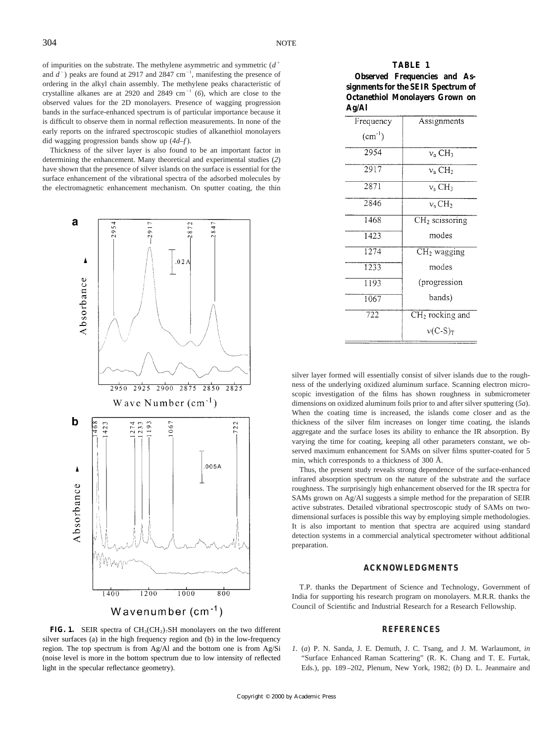of impurities on the substrate. The methylene asymmetric and symmetric  $(d^+$ and  $d^-$ ) peaks are found at 2917 and 2847 cm<sup>-1</sup>, manifesting the presence of ordering in the alkyl chain assembly. The methylene peaks characteristic of crystalline alkanes are at 2920 and 2849  $cm^{-1}$  (6), which are close to the observed values for the 2D monolayers. Presence of wagging progression bands in the surface-enhanced spectrum is of particular importance because it is difficult to observe them in normal reflection measurements. In none of the early reports on the infrared spectroscopic studies of alkanethiol monolayers did wagging progression bands show up (*4d–f* ).

Thickness of the silver layer is also found to be an important factor in determining the enhancement. Many theoretical and experimental studies (*2*) have shown that the presence of silver islands on the surface is essential for the surface enhancement of the vibrational spectra of the adsorbed molecules by the electromagnetic enhancement mechanism. On sputter coating, the thin



**FIG. 1.** SEIR spectra of  $CH_3(CH_2)_7SH$  monolayers on the two different silver surfaces (a) in the high frequency region and (b) in the low-frequency region. The top spectrum is from Ag/Al and the bottom one is from Ag/Si (noise level is more in the bottom spectrum due to low intensity of reflected light in the specular reflectance geometry).

## **TABLE 1**

# **Observed Frequencies and Assignments for the SEIR Spectrum of Octanethiol Monolayers Grown on Ag/Al**

| o                  |                                      |
|--------------------|--------------------------------------|
| Frequency          | Assignments                          |
| $\text{(cm}^{-1})$ |                                      |
| 2954               | $v_a$ CH <sub>3</sub>                |
| 2917               | $v_a$ CH <sub>2</sub>                |
| 2871               | $v_s$ CH <sub>3</sub>                |
| 2846               | $v_s$ CH <sub>2</sub>                |
| 1468               | $CH2$ scissoring                     |
| 1423               | modes                                |
| 1274               | $CH2$ wagging                        |
| 1233               | modes                                |
| 1193               | (progression                         |
| 1067               | bands)                               |
| 722                | $\overline{\text{CH}_2}$ rocking and |
|                    | $v(C-S)T$                            |

silver layer formed will essentially consist of silver islands due to the roughness of the underlying oxidized aluminum surface. Scanning electron microscopic investigation of the films has shown roughness in submicrometer dimensions on oxidized aluminum foils prior to and after silver sputtering (*5a*). When the coating time is increased, the islands come closer and as the thickness of the silver film increases on longer time coating, the islands aggregate and the surface loses its ability to enhance the IR absorption. By varying the time for coating, keeping all other parameters constant, we observed maximum enhancement for SAMs on silver films sputter-coated for 5 min, which corresponds to a thickness of 300 Å.

Thus, the present study reveals strong dependence of the surface-enhanced infrared absorption spectrum on the nature of the substrate and the surface roughness. The surprisingly high enhancement observed for the IR spectra for SAMs grown on Ag/Al suggests a simple method for the preparation of SEIR active substrates. Detailed vibrational spectroscopic study of SAMs on twodimensional surfaces is possible this way by employing simple methodologies. It is also important to mention that spectra are acquired using standard detection systems in a commercial analytical spectrometer without additional preparation.

## **ACKNOWLEDGMENTS**

T.P. thanks the Department of Science and Technology, Government of India for supporting his research program on monolayers. M.R.R. thanks the Council of Scientific and Industrial Research for a Research Fellowship.

## **REFERENCES**

*1.* (*a*) P. N. Sanda, J. E. Demuth, J. C. Tsang, and J. M. Warlaumont, *in* "Surface Enhanced Raman Scattering" (R. K. Chang and T. E. Furtak, Eds.), pp. 189–202, Plenum, New York, 1982; (*b*) D. L. Jeanmaire and